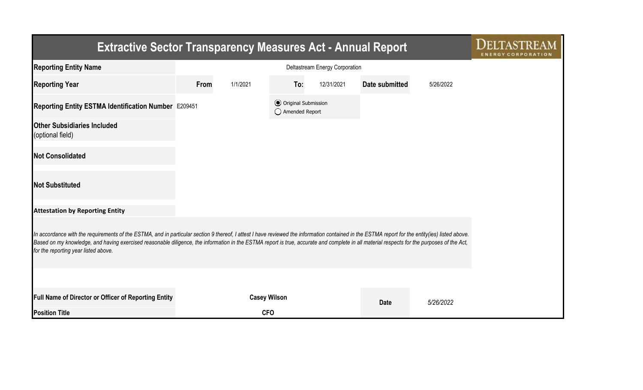| <b>Extractive Sector Transparency Measures Act - Annual Report</b>                                                                                                                                                                                                                                                                                                                                                                    |      |                     |                                                  |            |                |           |  |  |  |  |
|---------------------------------------------------------------------------------------------------------------------------------------------------------------------------------------------------------------------------------------------------------------------------------------------------------------------------------------------------------------------------------------------------------------------------------------|------|---------------------|--------------------------------------------------|------------|----------------|-----------|--|--|--|--|
| <b>Reporting Entity Name</b>                                                                                                                                                                                                                                                                                                                                                                                                          |      |                     |                                                  |            |                |           |  |  |  |  |
| <b>Reporting Year</b>                                                                                                                                                                                                                                                                                                                                                                                                                 | From | 1/1/2021            | To:                                              | 12/31/2021 | Date submitted | 5/26/2022 |  |  |  |  |
| Reporting Entity ESTMA Identification Number E209451                                                                                                                                                                                                                                                                                                                                                                                  |      |                     | <b>⊙</b> Original Submission<br>◯ Amended Report |            |                |           |  |  |  |  |
| <b>Other Subsidiaries Included</b><br>(optional field)                                                                                                                                                                                                                                                                                                                                                                                |      |                     |                                                  |            |                |           |  |  |  |  |
| <b>Not Consolidated</b>                                                                                                                                                                                                                                                                                                                                                                                                               |      |                     |                                                  |            |                |           |  |  |  |  |
| <b>Not Substituted</b>                                                                                                                                                                                                                                                                                                                                                                                                                |      |                     |                                                  |            |                |           |  |  |  |  |
| <b>Attestation by Reporting Entity</b>                                                                                                                                                                                                                                                                                                                                                                                                |      |                     |                                                  |            |                |           |  |  |  |  |
| In accordance with the requirements of the ESTMA, and in particular section 9 thereof, I attest I have reviewed the information contained in the ESTMA report for the entity(ies) listed above.<br>Based on my knowledge, and having exercised reasonable diligence, the information in the ESTMA report is true, accurate and complete in all material respects for the purposes of the Act,<br>for the reporting year listed above. |      |                     |                                                  |            |                |           |  |  |  |  |
|                                                                                                                                                                                                                                                                                                                                                                                                                                       |      |                     |                                                  |            |                |           |  |  |  |  |
| <b>Full Name of Director or Officer of Reporting Entity</b>                                                                                                                                                                                                                                                                                                                                                                           |      | <b>Casey Wilson</b> |                                                  |            | <b>Date</b>    | 5/26/2022 |  |  |  |  |
| <b>Position Title</b>                                                                                                                                                                                                                                                                                                                                                                                                                 |      | <b>CFO</b>          |                                                  |            |                |           |  |  |  |  |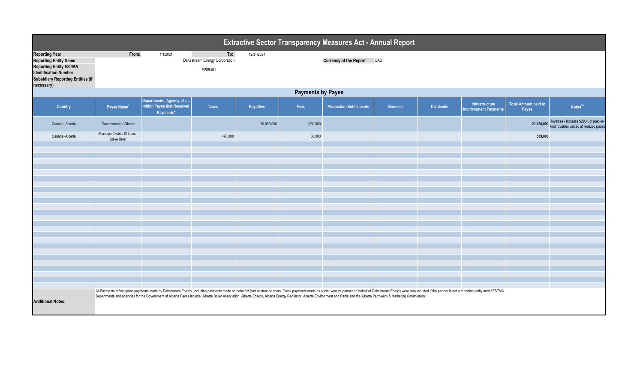| <b>Extractive Sector Transparency Measures Act - Annual Report</b>                                                                                                               |                                                    |                                                                                                                                                                                                                                                                                                                                                                                                                                                              |                                                         |            |           |                                   |                |                  |                                               |                               |                                                                                                |  |  |
|----------------------------------------------------------------------------------------------------------------------------------------------------------------------------------|----------------------------------------------------|--------------------------------------------------------------------------------------------------------------------------------------------------------------------------------------------------------------------------------------------------------------------------------------------------------------------------------------------------------------------------------------------------------------------------------------------------------------|---------------------------------------------------------|------------|-----------|-----------------------------------|----------------|------------------|-----------------------------------------------|-------------------------------|------------------------------------------------------------------------------------------------|--|--|
| <b>Reporting Year</b><br><b>Reporting Entity Name</b><br><b>Reporting Entity ESTMA</b><br><b>Identification Number</b><br><b>Subsidiary Reporting Entities (if</b><br>necessary) | From:                                              | 1/1/2021                                                                                                                                                                                                                                                                                                                                                                                                                                                     | To:<br><b>Deltastream Energy Corporation</b><br>E209451 | 12/31/2021 |           | <b>Currency of the Report CAD</b> |                |                  |                                               |                               |                                                                                                |  |  |
| <b>Payments by Payee</b>                                                                                                                                                         |                                                    |                                                                                                                                                                                                                                                                                                                                                                                                                                                              |                                                         |            |           |                                   |                |                  |                                               |                               |                                                                                                |  |  |
| <b>Country</b>                                                                                                                                                                   | Payee Name <sup>1</sup>                            | Departments, Agency, etc<br>within Payee that Received<br>Payments <sup>2</sup>                                                                                                                                                                                                                                                                                                                                                                              | <b>Taxes</b>                                            | Royalties  | Fees      | <b>Production Entitlements</b>    | <b>Bonuses</b> | <b>Dividends</b> | Infrastructure<br><b>Improvement Payments</b> | Total Amount paid to<br>Payee | Notes <sup>34</sup>                                                                            |  |  |
| Canada - Alberta                                                                                                                                                                 | Government of Alberta                              |                                                                                                                                                                                                                                                                                                                                                                                                                                                              |                                                         | 20,090,000 | 1,030,000 |                                   |                |                  |                                               |                               | 21,120,000 Royalties - Includes \$290K of paid-in-<br>kind royalties valued at realized prices |  |  |
| Canada - Alberta                                                                                                                                                                 | <b>Municipal District Of Lesser</b><br>Slave River |                                                                                                                                                                                                                                                                                                                                                                                                                                                              | 470,000                                                 |            | 60,000    |                                   |                |                  |                                               | 530,000                       |                                                                                                |  |  |
|                                                                                                                                                                                  |                                                    |                                                                                                                                                                                                                                                                                                                                                                                                                                                              |                                                         |            |           |                                   |                |                  |                                               |                               |                                                                                                |  |  |
|                                                                                                                                                                                  |                                                    |                                                                                                                                                                                                                                                                                                                                                                                                                                                              |                                                         |            |           |                                   |                |                  |                                               |                               |                                                                                                |  |  |
|                                                                                                                                                                                  |                                                    |                                                                                                                                                                                                                                                                                                                                                                                                                                                              |                                                         |            |           |                                   |                |                  |                                               |                               |                                                                                                |  |  |
|                                                                                                                                                                                  |                                                    |                                                                                                                                                                                                                                                                                                                                                                                                                                                              |                                                         |            |           |                                   |                |                  |                                               |                               |                                                                                                |  |  |
|                                                                                                                                                                                  |                                                    |                                                                                                                                                                                                                                                                                                                                                                                                                                                              |                                                         |            |           |                                   |                |                  |                                               |                               |                                                                                                |  |  |
|                                                                                                                                                                                  |                                                    |                                                                                                                                                                                                                                                                                                                                                                                                                                                              |                                                         |            |           |                                   |                |                  |                                               |                               |                                                                                                |  |  |
|                                                                                                                                                                                  |                                                    |                                                                                                                                                                                                                                                                                                                                                                                                                                                              |                                                         |            |           |                                   |                |                  |                                               |                               |                                                                                                |  |  |
|                                                                                                                                                                                  |                                                    |                                                                                                                                                                                                                                                                                                                                                                                                                                                              |                                                         |            |           |                                   |                |                  |                                               |                               |                                                                                                |  |  |
|                                                                                                                                                                                  |                                                    |                                                                                                                                                                                                                                                                                                                                                                                                                                                              |                                                         |            |           |                                   |                |                  |                                               |                               |                                                                                                |  |  |
|                                                                                                                                                                                  |                                                    |                                                                                                                                                                                                                                                                                                                                                                                                                                                              |                                                         |            |           |                                   |                |                  |                                               |                               |                                                                                                |  |  |
|                                                                                                                                                                                  |                                                    |                                                                                                                                                                                                                                                                                                                                                                                                                                                              |                                                         |            |           |                                   |                |                  |                                               |                               |                                                                                                |  |  |
|                                                                                                                                                                                  |                                                    |                                                                                                                                                                                                                                                                                                                                                                                                                                                              |                                                         |            |           |                                   |                |                  |                                               |                               |                                                                                                |  |  |
|                                                                                                                                                                                  |                                                    |                                                                                                                                                                                                                                                                                                                                                                                                                                                              |                                                         |            |           |                                   |                |                  |                                               |                               |                                                                                                |  |  |
|                                                                                                                                                                                  |                                                    |                                                                                                                                                                                                                                                                                                                                                                                                                                                              |                                                         |            |           |                                   |                |                  |                                               |                               |                                                                                                |  |  |
|                                                                                                                                                                                  |                                                    |                                                                                                                                                                                                                                                                                                                                                                                                                                                              |                                                         |            |           |                                   |                |                  |                                               |                               |                                                                                                |  |  |
|                                                                                                                                                                                  |                                                    |                                                                                                                                                                                                                                                                                                                                                                                                                                                              |                                                         |            |           |                                   |                |                  |                                               |                               |                                                                                                |  |  |
|                                                                                                                                                                                  |                                                    |                                                                                                                                                                                                                                                                                                                                                                                                                                                              |                                                         |            |           |                                   |                |                  |                                               |                               |                                                                                                |  |  |
| <b>Additional Notes:</b>                                                                                                                                                         |                                                    | All Payments reflect gross payments made by Deltastream Energy, including payments made on behalf of joint venture partners. Gross payments made by a joint venture partner on behalf of Deltastream Energy were also included<br>Departments and agencies for the Government of Alberta Payee include: Alberta Boiler Association, Alberta Energy, Alberta Energy Regulator, Alberta Environment and Parks and the Alberta Petroleum & Marketing Commission |                                                         |            |           |                                   |                |                  |                                               |                               |                                                                                                |  |  |